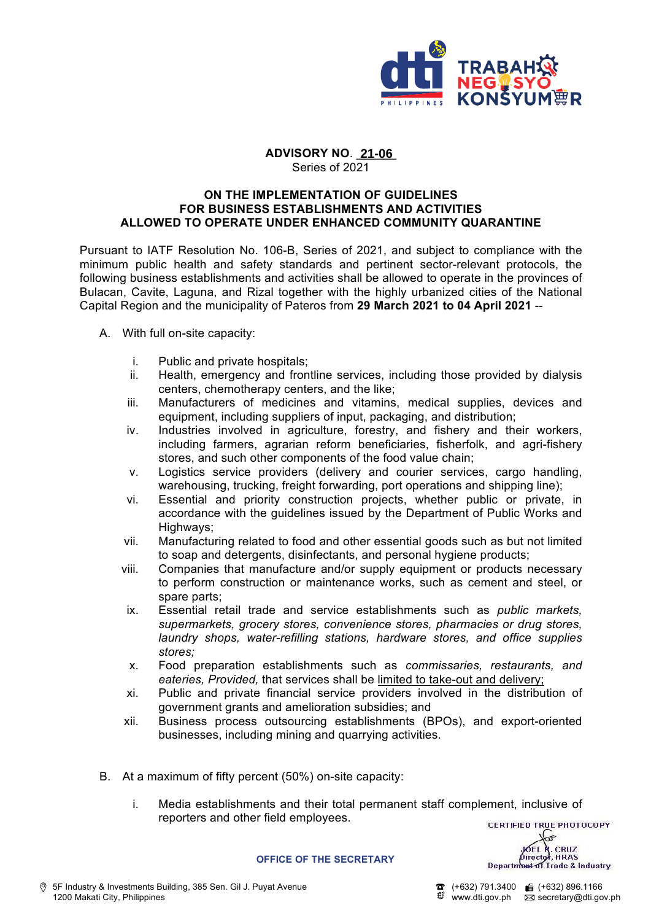

## **ADVISORY NO**. \_\_\_\_\_\_ **21-06**Series of 2021

## **ON THE IMPLEMENTATION OF GUIDELINES FOR BUSINESS ESTABLISHMENTS AND ACTIVITIES ALLOWED TO OPERATE UNDER ENHANCED COMMUNITY QUARANTINE**

Pursuant to IATF Resolution No. 106-B, Series of 2021, and subject to compliance with the minimum public health and safety standards and pertinent sector-relevant protocols, the following business establishments and activities shall be allowed to operate in the provinces of Bulacan, Cavite, Laguna, and Rizal together with the highly urbanized cities of the National Capital Region and the municipality of Pateros from **29 March 2021 to 04 April 2021** --

- A. With full on-site capacity:
	- i. Public and private hospitals;
	- ii. Health, emergency and frontline services, including those provided by dialysis centers, chemotherapy centers, and the like;
	- iii. Manufacturers of medicines and vitamins, medical supplies, devices and equipment, including suppliers of input, packaging, and distribution;
	- iv. Industries involved in agriculture, forestry, and fishery and their workers, including farmers, agrarian reform beneficiaries, fisherfolk, and agri-fishery stores, and such other components of the food value chain;
	- v. Logistics service providers (delivery and courier services, cargo handling, warehousing, trucking, freight forwarding, port operations and shipping line);
	- vi. Essential and priority construction projects, whether public or private, in accordance with the guidelines issued by the Department of Public Works and Highways;
	- vii. Manufacturing related to food and other essential goods such as but not limited to soap and detergents, disinfectants, and personal hygiene products;
	- viii. Companies that manufacture and/or supply equipment or products necessary to perform construction or maintenance works, such as cement and steel, or spare parts;
	- ix. Essential retail trade and service establishments such as *public markets, supermarkets, grocery stores, convenience stores, pharmacies or drug stores, laundry shops, water-refilling stations, hardware stores, and office supplies stores;*
	- x. Food preparation establishments such as *commissaries, restaurants, and eateries, Provided,* that services shall be limited to take-out and delivery;
	- xi. Public and private financial service providers involved in the distribution of government grants and amelioration subsidies; and
	- xii. Business process outsourcing establishments (BPOs), and export-oriented businesses, including mining and quarrying activities.
- B. At a maximum of fifty percent (50%) on-site capacity:
	- i. Media establishments and their total permanent staff complement, inclusive of reporters and other field employees.

**CERTIFIED TRUE PHOTOCOPY**  $\widehat{\mathbf{r}}$ JOEL R. CRUZ<br>Pirector, HRAS<br>Department of Trade & Industry

**OFFICE OF THE SECRETARY**

 $\bullet$  (+632) 791.3400 ( $\bullet$  (+632) 896.1166 www.dti.gov.ph  $\overline{\boxtimes}$  secretary@dti.gov.ph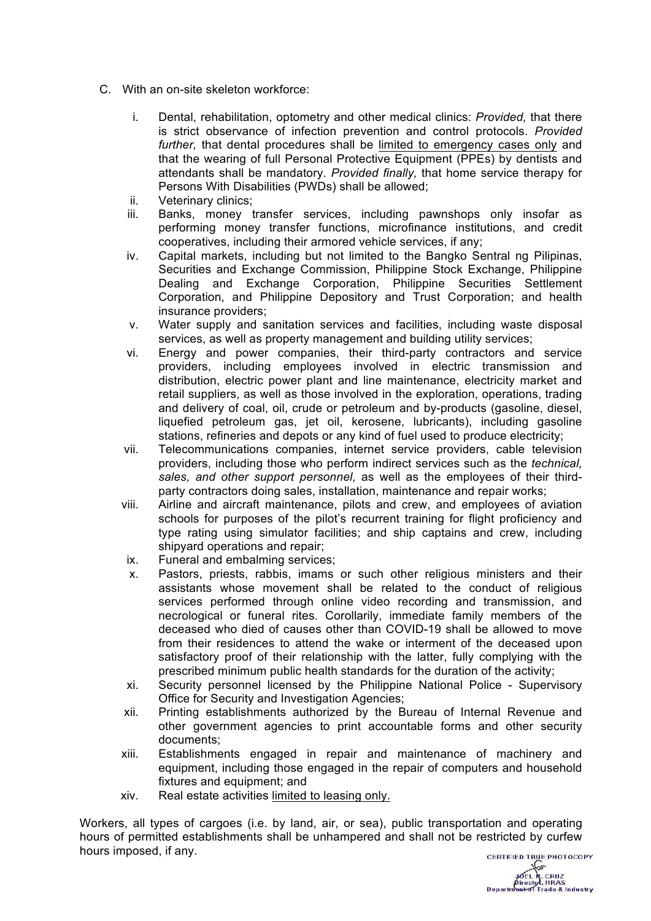- C. With an on-site skeleton workforce:
	- i. Dental, rehabilitation, optometry and other medical clinics: *Provided,* that there is strict observance of infection prevention and control protocols. *Provided further,* that dental procedures shall be limited to emergency cases only and that the wearing of full Personal Protective Equipment (PPEs) by dentists and attendants shall be mandatory. *Provided finally,* that home service therapy for Persons With Disabilities (PWDs) shall be allowed;
	- ii. Veterinary clinics;
	- iii. Banks, money transfer services, including pawnshops only insofar as performing money transfer functions, microfinance institutions, and credit cooperatives, including their armored vehicle services, if any;
	- iv. Capital markets, including but not limited to the Bangko Sentral ng Pilipinas, Securities and Exchange Commission, Philippine Stock Exchange, Philippine Dealing and Exchange Corporation, Philippine Securities Settlement Corporation, and Philippine Depository and Trust Corporation; and health insurance providers;
	- v. Water supply and sanitation services and facilities, including waste disposal services, as well as property management and building utility services;
	- vi. Energy and power companies, their third-party contractors and service providers, including employees involved in electric transmission and distribution, electric power plant and line maintenance, electricity market and retail suppliers, as well as those involved in the exploration, operations, trading and delivery of coal, oil, crude or petroleum and by-products (gasoline, diesel, liquefied petroleum gas, jet oil, kerosene, lubricants), including gasoline stations, refineries and depots or any kind of fuel used to produce electricity;
	- vii. Telecommunications companies, internet service providers, cable television providers, including those who perform indirect services such as the *technical, sales, and other support personnel,* as well as the employees of their thirdparty contractors doing sales, installation, maintenance and repair works;
	- viii. Airline and aircraft maintenance, pilots and crew, and employees of aviation schools for purposes of the pilot's recurrent training for flight proficiency and type rating using simulator facilities; and ship captains and crew, including shipyard operations and repair;
	- ix. Funeral and embalming services;
	- x. Pastors, priests, rabbis, imams or such other religious ministers and their assistants whose movement shall be related to the conduct of religious services performed through online video recording and transmission, and necrological or funeral rites. Corollarily, immediate family members of the deceased who died of causes other than COVID-19 shall be allowed to move from their residences to attend the wake or interment of the deceased upon satisfactory proof of their relationship with the latter, fully complying with the prescribed minimum public health standards for the duration of the activity;
	- xi. Security personnel licensed by the Philippine National Police Supervisory Office for Security and Investigation Agencies;
	- xii. Printing establishments authorized by the Bureau of Internal Revenue and other government agencies to print accountable forms and other security documents;
	- xiii. Establishments engaged in repair and maintenance of machinery and equipment, including those engaged in the repair of computers and household fixtures and equipment; and
	- xiv. Real estate activities limited to leasing only.

Workers, all types of cargoes (i.e. by land, air, or sea), public transportation and operating hours of permitted establishments shall be unhampered and shall not be restricted by curfew hours imposed, if any.